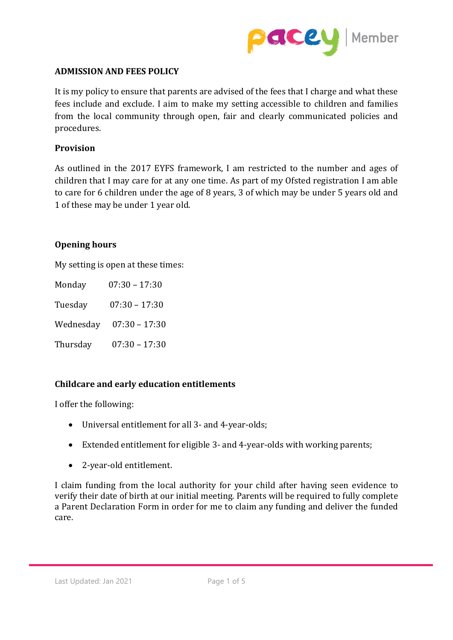

# **ADMISSION AND FEES POLICY**

It is my policy to ensure that parents are advised of the fees that I charge and what these fees include and exclude. I aim to make my setting accessible to children and families from the local community through open, fair and clearly communicated policies and procedures.

#### **Provision**

As outlined in the 2017 EYFS framework, I am restricted to the number and ages of children that I may care for at any one time. As part of my Ofsted registration I am able to care for 6 children under the age of 8 years, 3 of which may be under 5 years old and 1 of these may be under 1 year old.

#### **Opening hours**

My setting is open at these times:

Monday 07:30 – 17:30 Tuesday 07:30 – 17:30 Wednesday 07:30 – 17:30 Thursday 07:30 – 17:30

# **Childcare and early education entitlements**

I offer the following:

- Universal entitlement for all 3- and 4-year-olds;
- Extended entitlement for eligible 3- and 4-year-olds with working parents;
- 2-year-old entitlement.

I claim funding from the local authority for your child after having seen evidence to verify their date of birth at our initial meeting. Parents will be required to fully complete a Parent Declaration Form in order for me to claim any funding and deliver the funded care.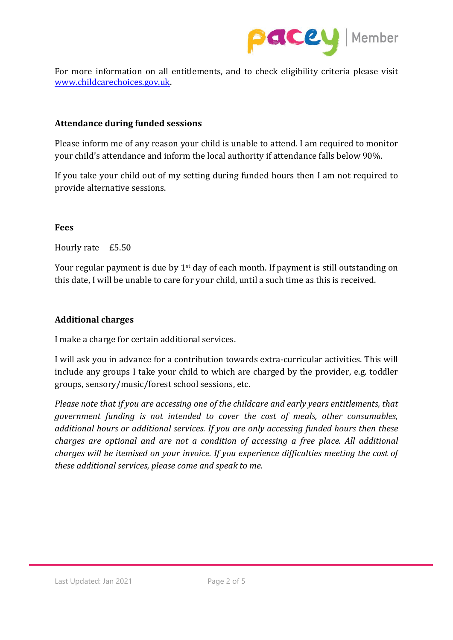

For more information on all entitlements, and to check eligibility criteria please visit [www.childcarechoices.gov.uk.](https://www.childcarechoices.gov.uk/)

# **Attendance during funded sessions**

Please inform me of any reason your child is unable to attend. I am required to monitor your child's attendance and inform the local authority if attendance falls below 90%.

If you take your child out of my setting during funded hours then I am not required to provide alternative sessions.

# **Fees**

Hourly rate £5.50

Your regular payment is due by  $1<sup>st</sup>$  day of each month. If payment is still outstanding on this date, I will be unable to care for your child, until a such time as this is received.

## **Additional charges**

I make a charge for certain additional services.

I will ask you in advance for a contribution towards extra-curricular activities. This will include any groups I take your child to which are charged by the provider, e.g. toddler groups, sensory/music/forest school sessions, etc.

*Please note that if you are accessing one of the childcare and early years entitlements, that government funding is not intended to cover the cost of meals, other consumables, additional hours or additional services. If you are only accessing funded hours then these charges are optional and are not a condition of accessing a free place. All additional charges will be itemised on your invoice. If you experience difficulties meeting the cost of these additional services, please come and speak to me.*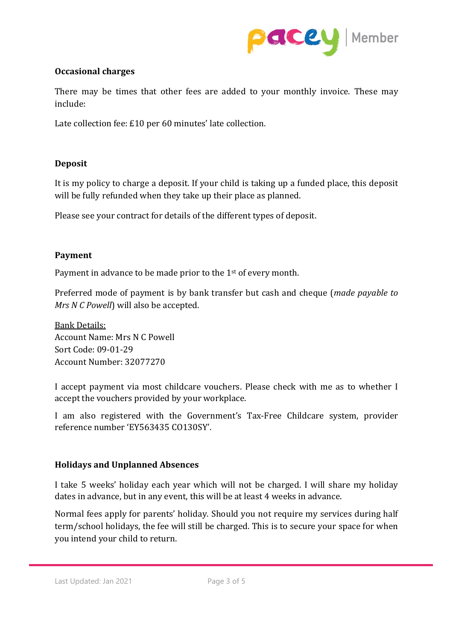

# **Occasional charges**

There may be times that other fees are added to your monthly invoice. These may include:

Late collection fee: £10 per 60 minutes' late collection.

# **Deposit**

It is my policy to charge a deposit. If your child is taking up a funded place, this deposit will be fully refunded when they take up their place as planned.

Please see your contract for details of the different types of deposit.

# **Payment**

Payment in advance to be made prior to the 1<sup>st</sup> of every month.

Preferred mode of payment is by bank transfer but cash and cheque (*made payable to Mrs N C Powell*) will also be accepted.

Bank Details: Account Name: Mrs N C Powell Sort Code: 09-01-29 Account Number: 32077270

I accept payment via most childcare vouchers. Please check with me as to whether I accept the vouchers provided by your workplace.

I am also registered with the Government's Tax-Free Childcare system, provider reference number 'EY563435 CO130SY'.

# **Holidays and Unplanned Absences**

I take 5 weeks' holiday each year which will not be charged. I will share my holiday dates in advance, but in any event, this will be at least 4 weeks in advance.

Normal fees apply for parents' holiday. Should you not require my services during half term/school holidays, the fee will still be charged. This is to secure your space for when you intend your child to return.

Last Updated: Jan 2021 Page 3 of 5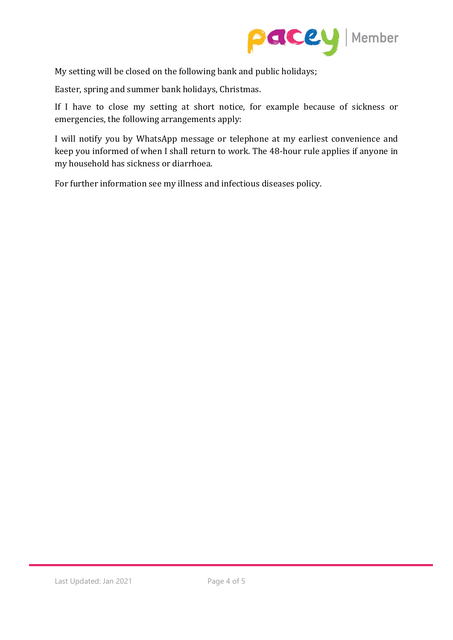

My setting will be closed on the following bank and public holidays;

Easter, spring and summer bank holidays, Christmas.

If I have to close my setting at short notice, for example because of sickness or emergencies, the following arrangements apply:

I will notify you by WhatsApp message or telephone at my earliest convenience and keep you informed of when I shall return to work. The 48-hour rule applies if anyone in my household has sickness or diarrhoea.

For further information see my illness and infectious diseases policy.